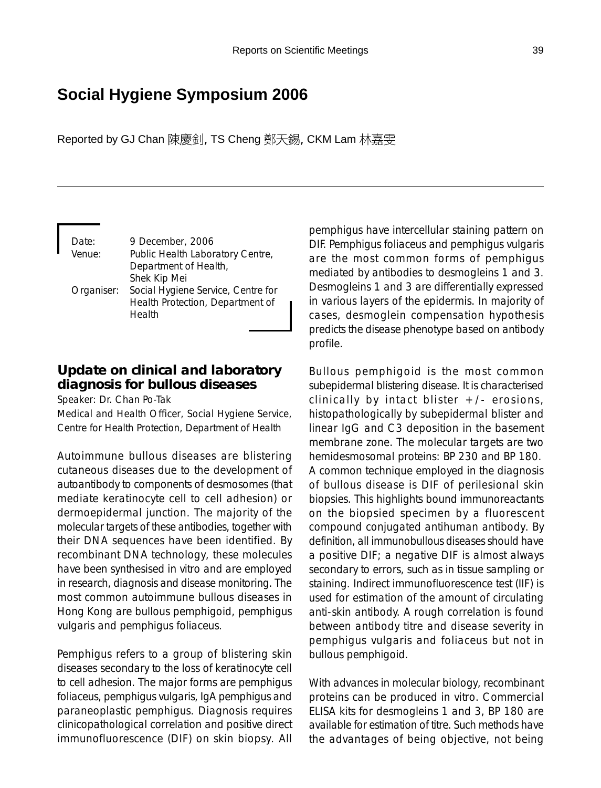# **Social Hygiene Symposium 2006**

Reported by GJ Chan 陳慶釗, TS Cheng 鄭天錫, CKM Lam 林嘉雯

Date: 9 December, 2006 Venue: Public Health Laboratory Centre, Department of Health, Shek Kip Mei Organiser: Social Hygiene Service, Centre for Health Protection, Department of Health

# **Update on clinical and laboratory diagnosis for bullous diseases**

Speaker: Dr. Chan Po-Tak

Medical and Health Officer, Social Hygiene Service, Centre for Health Protection, Department of Health

Autoimmune bullous diseases are blistering cutaneous diseases due to the development of autoantibody to components of desmosomes (that mediate keratinocyte cell to cell adhesion) or dermoepidermal junction. The majority of the molecular targets of these antibodies, together with their DNA sequences have been identified. By recombinant DNA technology, these molecules have been synthesised in vitro and are employed in research, diagnosis and disease monitoring. The most common autoimmune bullous diseases in Hong Kong are bullous pemphigoid, pemphigus vulgaris and pemphigus foliaceus.

Pemphigus refers to a group of blistering skin diseases secondary to the loss of keratinocyte cell to cell adhesion. The major forms are pemphigus foliaceus, pemphigus vulgaris, IgA pemphigus and paraneoplastic pemphigus. Diagnosis requires clinicopathological correlation and positive direct immunofluorescence (DIF) on skin biopsy. All pemphigus have intercellular staining pattern on DIF. Pemphigus foliaceus and pemphigus vulgaris are the most common forms of pemphigus mediated by antibodies to desmogleins 1 and 3. Desmogleins 1 and 3 are differentially expressed in various layers of the epidermis. In majority of cases, desmoglein compensation hypothesis predicts the disease phenotype based on antibody profile.

Bullous pemphigoid is the most common subepidermal blistering disease. It is characterised clinically by intact blister  $+/-$  erosions, histopathologically by subepidermal blister and linear IgG and C3 deposition in the basement membrane zone. The molecular targets are two hemidesmosomal proteins: BP 230 and BP 180. A common technique employed in the diagnosis of bullous disease is DIF of perilesional skin biopsies. This highlights bound immunoreactants on the biopsied specimen by a fluorescent compound conjugated antihuman antibody. By definition, all immunobullous diseases should have a positive DIF; a negative DIF is almost always secondary to errors, such as in tissue sampling or staining. Indirect immunofluorescence test (IIF) is used for estimation of the amount of circulating anti-skin antibody. A rough correlation is found between antibody titre and disease severity in pemphigus vulgaris and foliaceus but not in bullous pemphigoid.

With advances in molecular biology, recombinant proteins can be produced in vitro. Commercial ELISA kits for desmogleins 1 and 3, BP 180 are available for estimation of titre. Such methods have the advantages of being objective, not being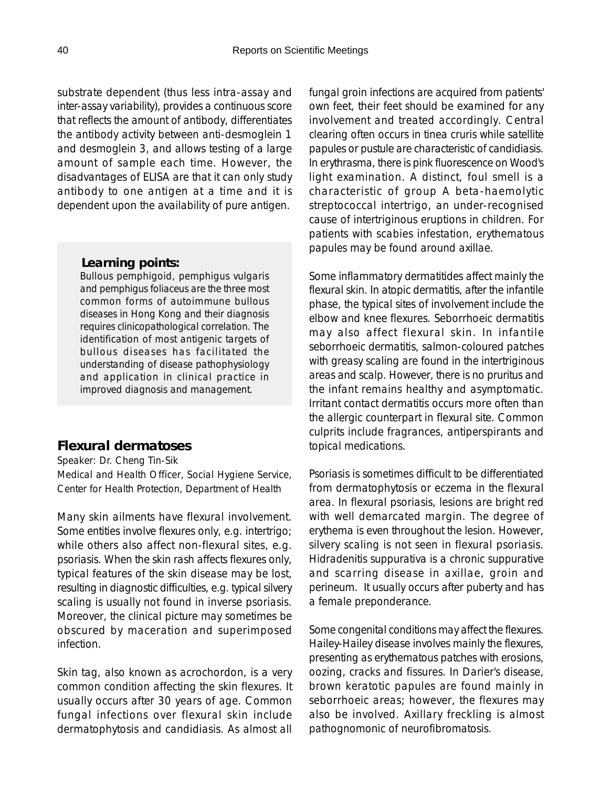substrate dependent (thus less intra-assay and inter-assay variability), provides a continuous score that reflects the amount of antibody, differentiates the antibody activity between anti-desmoglein 1 and desmoglein 3, and allows testing of a large amount of sample each time. However, the disadvantages of ELISA are that it can only study antibody to one antigen at a time and it is dependent upon the availability of pure antigen.

#### *Learning points:*

Bullous pemphigoid, pemphigus vulgaris and pemphigus foliaceus are the three most common forms of autoimmune bullous diseases in Hong Kong and their diagnosis requires clinicopathological correlation. The identification of most antigenic targets of bullous diseases has facilitated the understanding of disease pathophysiology and application in clinical practice in improved diagnosis and management.

# **Flexural dermatoses**

Speaker: Dr. Cheng Tin-Sik Medical and Health Officer, Social Hygiene Service, Center for Health Protection, Department of Health

Many skin ailments have flexural involvement. Some entities involve flexures only, e.g. intertrigo; while others also affect non-flexural sites, e.g. psoriasis. When the skin rash affects flexures only, typical features of the skin disease may be lost, resulting in diagnostic difficulties, e.g. typical silvery scaling is usually not found in inverse psoriasis. Moreover, the clinical picture may sometimes be obscured by maceration and superimposed infection.

Skin tag, also known as acrochordon, is a very common condition affecting the skin flexures. It usually occurs after 30 years of age. Common fungal infections over flexural skin include dermatophytosis and candidiasis. As almost all fungal groin infections are acquired from patients' own feet, their feet should be examined for any involvement and treated accordingly. Central clearing often occurs in tinea cruris while satellite papules or pustule are characteristic of candidiasis. In erythrasma, there is pink fluorescence on Wood's light examination. A distinct, foul smell is a characteristic of group A beta-haemolytic streptococcal intertrigo, an under-recognised cause of intertriginous eruptions in children. For patients with scabies infestation, erythematous papules may be found around axillae.

Some inflammatory dermatitides affect mainly the flexural skin. In atopic dermatitis, after the infantile phase, the typical sites of involvement include the elbow and knee flexures. Seborrhoeic dermatitis may also affect flexural skin. In infantile seborrhoeic dermatitis, salmon-coloured patches with greasy scaling are found in the intertriginous areas and scalp. However, there is no pruritus and the infant remains healthy and asymptomatic. Irritant contact dermatitis occurs more often than the allergic counterpart in flexural site. Common culprits include fragrances, antiperspirants and topical medications.

Psoriasis is sometimes difficult to be differentiated from dermatophytosis or eczema in the flexural area. In flexural psoriasis, lesions are bright red with well demarcated margin. The degree of erythema is even throughout the lesion. However, silvery scaling is not seen in flexural psoriasis. Hidradenitis suppurativa is a chronic suppurative and scarring disease in axillae, groin and perineum. It usually occurs after puberty and has a female preponderance.

Some congenital conditions may affect the flexures. Hailey-Hailey disease involves mainly the flexures, presenting as erythematous patches with erosions, oozing, cracks and fissures. In Darier's disease, brown keratotic papules are found mainly in seborrhoeic areas; however, the flexures may also be involved. Axillary freckling is almost pathognomonic of neurofibromatosis.